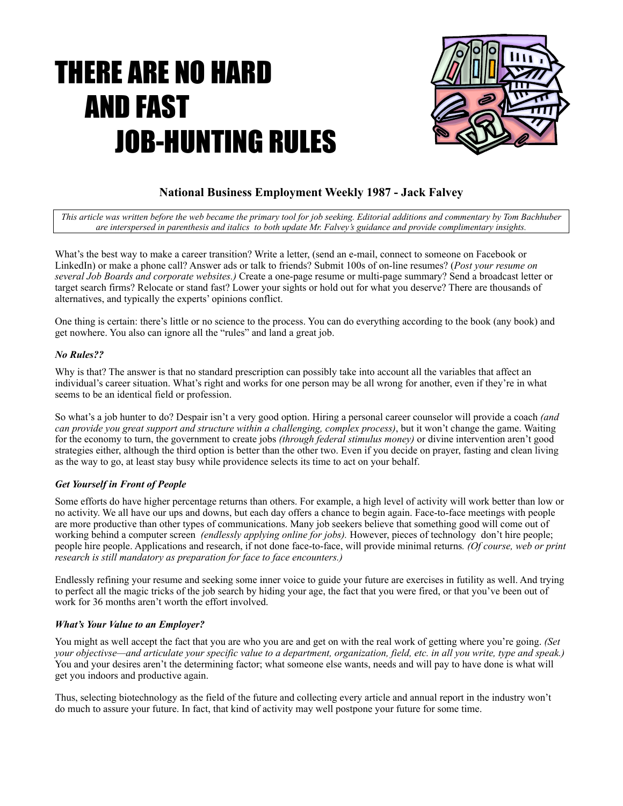# THERE ARE NO HARD AND FAST JOB-HUNTING RULES



# **National Business Employment Weekly 1987 - Jack Falvey**

*This article was written before the web became the primary tool for job seeking. Editorial additions and commentary by Tom Bachhuber are interspersed in parenthesis and italics to both update Mr. Falvey's guidance and provide complimentary insights.*

What's the best way to make a career transition? Write a letter, (send an e-mail, connect to someone on Facebook or LinkedIn) or make a phone call? Answer ads or talk to friends? Submit 100s of on-line resumes? (*Post your resume on several Job Boards and corporate websites.)* Create a one-page resume or multi-page summary? Send a broadcast letter or target search firms? Relocate or stand fast? Lower your sights or hold out for what you deserve? There are thousands of alternatives, and typically the experts' opinions conflict.

One thing is certain: there's little or no science to the process. You can do everything according to the book (any book) and get nowhere. You also can ignore all the "rules" and land a great job.

### *No Rules??*

Why is that? The answer is that no standard prescription can possibly take into account all the variables that affect an individual's career situation. What's right and works for one person may be all wrong for another, even if they're in what seems to be an identical field or profession.

So what's a job hunter to do? Despair isn't a very good option. Hiring a personal career counselor will provide a coach *(and can provide you great support and structure within a challenging, complex process)*, but it won't change the game. Waiting for the economy to turn, the government to create jobs *(through federal stimulus money)* or divine intervention aren't good strategies either, although the third option is better than the other two. Even if you decide on prayer, fasting and clean living as the way to go, at least stay busy while providence selects its time to act on your behalf.

# *Get Yourself in Front of People*

Some efforts do have higher percentage returns than others. For example, a high level of activity will work better than low or no activity. We all have our ups and downs, but each day offers a chance to begin again. Face-to-face meetings with people are more productive than other types of communications. Many job seekers believe that something good will come out of working behind a computer screen *(endlessly applying online for jobs).* However, pieces of technology don't hire people; people hire people. Applications and research, if not done face-to-face, will provide minimal returns*. (Of course, web or print research is still mandatory as preparation for face to face encounters.)*

Endlessly refining your resume and seeking some inner voice to guide your future are exercises in futility as well. And trying to perfect all the magic tricks of the job search by hiding your age, the fact that you were fired, or that you've been out of work for 36 months aren't worth the effort involved.

# *What's Your Value to an Employer?*

You might as well accept the fact that you are who you are and get on with the real work of getting where you're going. *(Set your objectivse—and articulate your specific value to a department, organization, field, etc. in all you write, type and speak.)* You and your desires aren't the determining factor; what someone else wants, needs and will pay to have done is what will get you indoors and productive again.

Thus, selecting biotechnology as the field of the future and collecting every article and annual report in the industry won't do much to assure your future. In fact, that kind of activity may well postpone your future for some time.